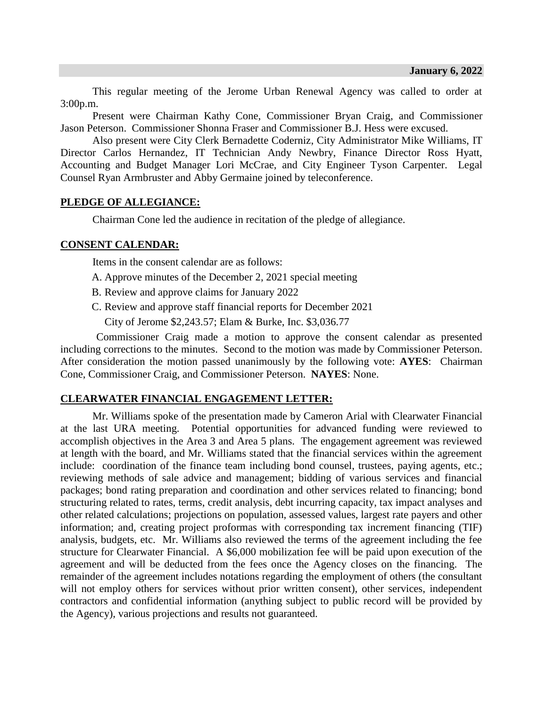This regular meeting of the Jerome Urban Renewal Agency was called to order at 3:00p.m.

Present were Chairman Kathy Cone, Commissioner Bryan Craig, and Commissioner Jason Peterson. Commissioner Shonna Fraser and Commissioner B.J. Hess were excused.

Also present were City Clerk Bernadette Coderniz, City Administrator Mike Williams, IT Director Carlos Hernandez, IT Technician Andy Newbry, Finance Director Ross Hyatt, Accounting and Budget Manager Lori McCrae, and City Engineer Tyson Carpenter. Legal Counsel Ryan Armbruster and Abby Germaine joined by teleconference.

# **PLEDGE OF ALLEGIANCE:**

Chairman Cone led the audience in recitation of the pledge of allegiance.

## **CONSENT CALENDAR:**

Items in the consent calendar are as follows:

- A. Approve minutes of the December 2, 2021 special meeting
- B. Review and approve claims for January 2022
- C. Review and approve staff financial reports for December 2021

City of Jerome \$2,243.57; Elam & Burke, Inc. \$3,036.77

Commissioner Craig made a motion to approve the consent calendar as presented including corrections to the minutes. Second to the motion was made by Commissioner Peterson. After consideration the motion passed unanimously by the following vote: **AYES**: Chairman Cone, Commissioner Craig, and Commissioner Peterson. **NAYES**: None.

## **CLEARWATER FINANCIAL ENGAGEMENT LETTER:**

Mr. Williams spoke of the presentation made by Cameron Arial with Clearwater Financial at the last URA meeting. Potential opportunities for advanced funding were reviewed to accomplish objectives in the Area 3 and Area 5 plans. The engagement agreement was reviewed at length with the board, and Mr. Williams stated that the financial services within the agreement include: coordination of the finance team including bond counsel, trustees, paying agents, etc.; reviewing methods of sale advice and management; bidding of various services and financial packages; bond rating preparation and coordination and other services related to financing; bond structuring related to rates, terms, credit analysis, debt incurring capacity, tax impact analyses and other related calculations; projections on population, assessed values, largest rate payers and other information; and, creating project proformas with corresponding tax increment financing (TIF) analysis, budgets, etc. Mr. Williams also reviewed the terms of the agreement including the fee structure for Clearwater Financial. A \$6,000 mobilization fee will be paid upon execution of the agreement and will be deducted from the fees once the Agency closes on the financing. The remainder of the agreement includes notations regarding the employment of others (the consultant will not employ others for services without prior written consent), other services, independent contractors and confidential information (anything subject to public record will be provided by the Agency), various projections and results not guaranteed.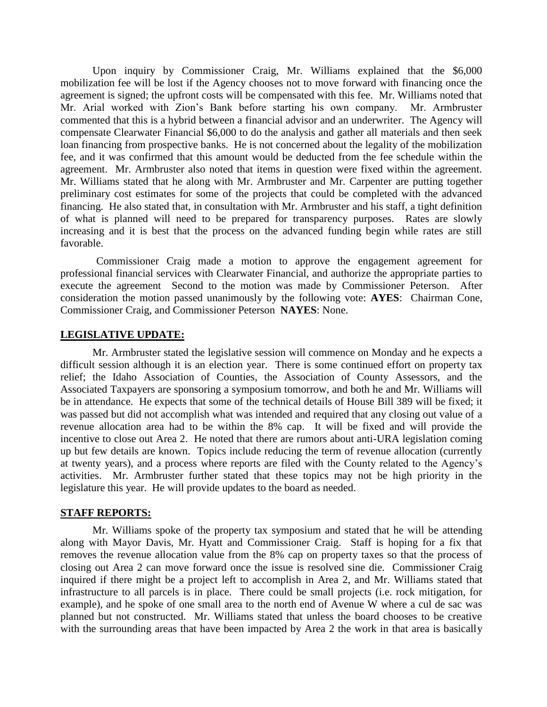Upon inquiry by Commissioner Craig, Mr. Williams explained that the \$6,000 mobilization fee will be lost if the Agency chooses not to move forward with financing once the agreement is signed; the upfront costs will be compensated with this fee. Mr. Williams noted that Mr. Arial worked with Zion's Bank before starting his own company. Mr. Armbruster commented that this is a hybrid between a financial advisor and an underwriter. The Agency will compensate Clearwater Financial \$6,000 to do the analysis and gather all materials and then seek loan financing from prospective banks. He is not concerned about the legality of the mobilization fee, and it was confirmed that this amount would be deducted from the fee schedule within the agreement. Mr. Armbruster also noted that items in question were fixed within the agreement. Mr. Williams stated that he along with Mr. Armbruster and Mr. Carpenter are putting together preliminary cost estimates for some of the projects that could be completed with the advanced financing. He also stated that, in consultation with Mr. Armbruster and his staff, a tight definition of what is planned will need to be prepared for transparency purposes. Rates are slowly increasing and it is best that the process on the advanced funding begin while rates are still favorable.

Commissioner Craig made a motion to approve the engagement agreement for professional financial services with Clearwater Financial, and authorize the appropriate parties to execute the agreement Second to the motion was made by Commissioner Peterson. After consideration the motion passed unanimously by the following vote: **AYES**: Chairman Cone, Commissioner Craig, and Commissioner Peterson **NAYES**: None.

## **LEGISLATIVE UPDATE:**

Mr. Armbruster stated the legislative session will commence on Monday and he expects a difficult session although it is an election year. There is some continued effort on property tax relief; the Idaho Association of Counties, the Association of County Assessors, and the Associated Taxpayers are sponsoring a symposium tomorrow, and both he and Mr. Williams will be in attendance. He expects that some of the technical details of House Bill 389 will be fixed; it was passed but did not accomplish what was intended and required that any closing out value of a revenue allocation area had to be within the 8% cap. It will be fixed and will provide the incentive to close out Area 2. He noted that there are rumors about anti-URA legislation coming up but few details are known. Topics include reducing the term of revenue allocation (currently at twenty years), and a process where reports are filed with the County related to the Agency's activities. Mr. Armbruster further stated that these topics may not be high priority in the legislature this year. He will provide updates to the board as needed.

#### **STAFF REPORTS:**

Mr. Williams spoke of the property tax symposium and stated that he will be attending along with Mayor Davis, Mr. Hyatt and Commissioner Craig. Staff is hoping for a fix that removes the revenue allocation value from the 8% cap on property taxes so that the process of closing out Area 2 can move forward once the issue is resolved sine die. Commissioner Craig inquired if there might be a project left to accomplish in Area 2, and Mr. Williams stated that infrastructure to all parcels is in place. There could be small projects (i.e. rock mitigation, for example), and he spoke of one small area to the north end of Avenue W where a cul de sac was planned but not constructed. Mr. Williams stated that unless the board chooses to be creative with the surrounding areas that have been impacted by Area 2 the work in that area is basically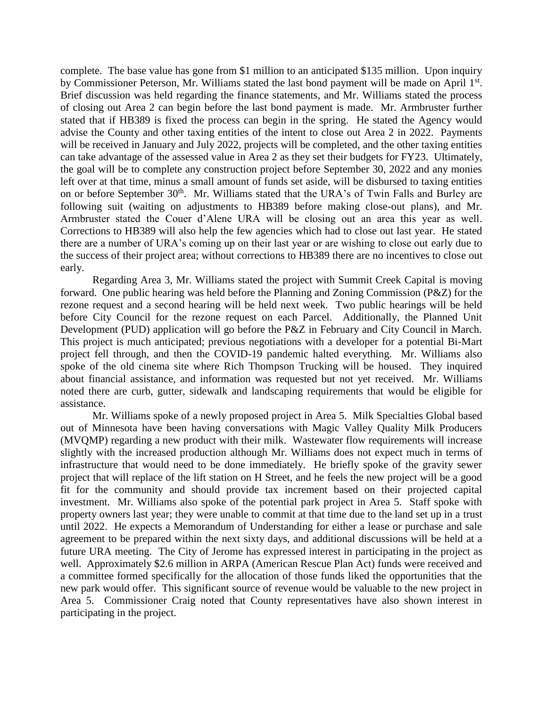complete. The base value has gone from \$1 million to an anticipated \$135 million. Upon inquiry by Commissioner Peterson, Mr. Williams stated the last bond payment will be made on April 1<sup>st</sup>. Brief discussion was held regarding the finance statements, and Mr. Williams stated the process of closing out Area 2 can begin before the last bond payment is made. Mr. Armbruster further stated that if HB389 is fixed the process can begin in the spring. He stated the Agency would advise the County and other taxing entities of the intent to close out Area 2 in 2022. Payments will be received in January and July 2022, projects will be completed, and the other taxing entities can take advantage of the assessed value in Area 2 as they set their budgets for FY23. Ultimately, the goal will be to complete any construction project before September 30, 2022 and any monies left over at that time, minus a small amount of funds set aside, will be disbursed to taxing entities on or before September 30<sup>th</sup>. Mr. Williams stated that the URA's of Twin Falls and Burley are following suit (waiting on adjustments to HB389 before making close-out plans), and Mr. Armbruster stated the Couer d'Alene URA will be closing out an area this year as well. Corrections to HB389 will also help the few agencies which had to close out last year. He stated there are a number of URA's coming up on their last year or are wishing to close out early due to the success of their project area; without corrections to HB389 there are no incentives to close out early.

Regarding Area 3, Mr. Williams stated the project with Summit Creek Capital is moving forward. One public hearing was held before the Planning and Zoning Commission (P&Z) for the rezone request and a second hearing will be held next week. Two public hearings will be held before City Council for the rezone request on each Parcel. Additionally, the Planned Unit Development (PUD) application will go before the P&Z in February and City Council in March. This project is much anticipated; previous negotiations with a developer for a potential Bi-Mart project fell through, and then the COVID-19 pandemic halted everything. Mr. Williams also spoke of the old cinema site where Rich Thompson Trucking will be housed. They inquired about financial assistance, and information was requested but not yet received. Mr. Williams noted there are curb, gutter, sidewalk and landscaping requirements that would be eligible for assistance.

Mr. Williams spoke of a newly proposed project in Area 5. Milk Specialties Global based out of Minnesota have been having conversations with Magic Valley Quality Milk Producers (MVQMP) regarding a new product with their milk. Wastewater flow requirements will increase slightly with the increased production although Mr. Williams does not expect much in terms of infrastructure that would need to be done immediately. He briefly spoke of the gravity sewer project that will replace of the lift station on H Street, and he feels the new project will be a good fit for the community and should provide tax increment based on their projected capital investment. Mr. Williams also spoke of the potential park project in Area 5. Staff spoke with property owners last year; they were unable to commit at that time due to the land set up in a trust until 2022. He expects a Memorandum of Understanding for either a lease or purchase and sale agreement to be prepared within the next sixty days, and additional discussions will be held at a future URA meeting. The City of Jerome has expressed interest in participating in the project as well. Approximately \$2.6 million in ARPA (American Rescue Plan Act) funds were received and a committee formed specifically for the allocation of those funds liked the opportunities that the new park would offer. This significant source of revenue would be valuable to the new project in Area 5. Commissioner Craig noted that County representatives have also shown interest in participating in the project.